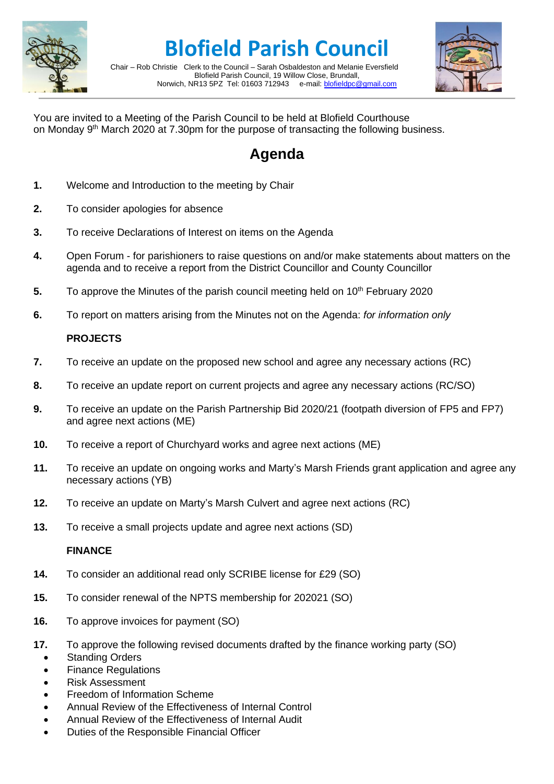

# **Blofield Parish Council**

Chair – Rob Christie Clerk to the Council – Sarah Osbaldeston and Melanie Eversfield Blofield Parish Council, 19 Willow Close, Brundall, Norwich, NR13 5PZ Tel: 01603 712943 e-mail: [blofieldpc@gmail.com](mailto:blofieldpc@gmail.com)



You are invited to a Meeting of the Parish Council to be held at Blofield Courthouse on Monday 9<sup>th</sup> March 2020 at 7.30pm for the purpose of transacting the following business.

# **Agenda**

- **1.** Welcome and Introduction to the meeting by Chair
- **2.** To consider apologies for absence
- **3.** To receive Declarations of Interest on items on the Agenda
- **4.** Open Forum for parishioners to raise questions on and/or make statements about matters on the agenda and to receive a report from the District Councillor and County Councillor
- **5.** To approve the Minutes of the parish council meeting held on 10<sup>th</sup> February 2020
- **6.** To report on matters arising from the Minutes not on the Agenda: *for information only*

## **PROJECTS**

- **7.** To receive an update on the proposed new school and agree any necessary actions (RC)
- **8.** To receive an update report on current projects and agree any necessary actions (RC/SO)
- **9.** To receive an update on the Parish Partnership Bid 2020/21 (footpath diversion of FP5 and FP7) and agree next actions (ME)
- **10.** To receive a report of Churchyard works and agree next actions (ME)
- **11.** To receive an update on ongoing works and Marty's Marsh Friends grant application and agree any necessary actions (YB)
- **12.** To receive an update on Marty's Marsh Culvert and agree next actions (RC)
- **13.** To receive a small projects update and agree next actions (SD)

### **FINANCE**

- **14.** To consider an additional read only SCRIBE license for £29 (SO)
- **15.** To consider renewal of the NPTS membership for 202021 (SO)
- **16.** To approve invoices for payment (SO)
- **17.** To approve the following revised documents drafted by the finance working party (SO)
	- **Standing Orders**
	- Finance Regulations
	- Risk Assessment
	- Freedom of Information Scheme
	- Annual Review of the Effectiveness of Internal Control
	- Annual Review of the Effectiveness of Internal Audit
	- Duties of the Responsible Financial Officer